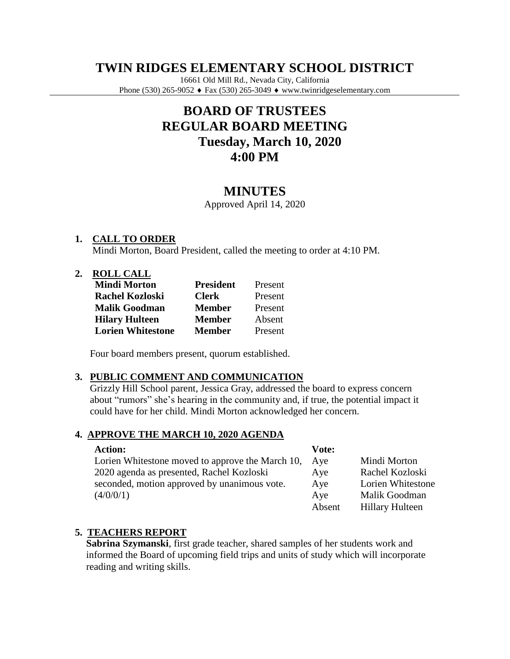# **TWIN RIDGES ELEMENTARY SCHOOL DISTRICT**

16661 Old Mill Rd., Nevada City, California Phone (530) 265-9052 ♦ Fax (530) 265-3049 ♦ www.twinridgeselementary.com

# **BOARD OF TRUSTEES REGULAR BOARD MEETING Tuesday, March 10, 2020 4:00 PM**

# **MINUTES**

Approved April 14, 2020

# **1. CALL TO ORDER**

Mindi Morton, Board President, called the meeting to order at 4:10 PM.

#### **2. ROLL CALL**

| <b>Mindi Morton</b>      | <b>President</b> | Present |
|--------------------------|------------------|---------|
| <b>Rachel Kozloski</b>   | <b>Clerk</b>     | Present |
| <b>Malik Goodman</b>     | <b>Member</b>    | Present |
| <b>Hilary Hulteen</b>    | <b>Member</b>    | Absent  |
| <b>Lorien Whitestone</b> | <b>Member</b>    | Present |

Four board members present, quorum established.

#### **3. PUBLIC COMMENT AND COMMUNICATION**

Grizzly Hill School parent, Jessica Gray, addressed the board to express concern about "rumors" she's hearing in the community and, if true, the potential impact it could have for her child. Mindi Morton acknowledged her concern.

#### **4. APPROVE THE MARCH 10, 2020 AGENDA**

| <b>Action:</b>                                   | Vote:  |                        |
|--------------------------------------------------|--------|------------------------|
| Lorien Whitestone moved to approve the March 10, | Ave    | Mindi Morton           |
| 2020 agenda as presented, Rachel Kozloski        | Aye    | Rachel Kozloski        |
| seconded, motion approved by unanimous vote.     | Aye    | Lorien Whitestone      |
| (4/0/0/1)                                        | Aye    | Malik Goodman          |
|                                                  | Absent | <b>Hillary Hulteen</b> |

# **5. TEACHERS REPORT**

**Sabrina Szymanski**, first grade teacher, shared samples of her students work and informed the Board of upcoming field trips and units of study which will incorporate reading and writing skills.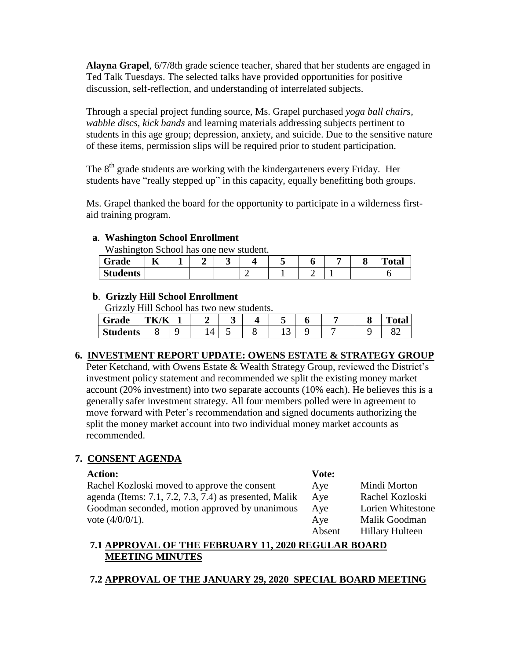**Alayna Grapel**, 6/7/8th grade science teacher, shared that her students are engaged in Ted Talk Tuesdays. The selected talks have provided opportunities for positive discussion, self-reflection, and understanding of interrelated subjects.

Through a special project funding source, Ms. Grapel purchased *yoga ball chairs, wabble discs, kick bands* and learning materials addressing subjects pertinent to students in this age group; depression, anxiety, and suicide. Due to the sensitive nature of these items, permission slips will be required prior to student participation.

The  $8<sup>th</sup>$  grade students are working with the kindergarteners every Friday. Her students have "really stepped up" in this capacity, equally benefitting both groups.

Ms. Grapel thanked the board for the opportunity to participate in a wilderness firstaid training program.

# **a**. **Washington School Enrollment**

Washington School has one new student.

| Grade           | --<br>п.<br>. . |  |  |  | О | m<br>≀tar |
|-----------------|-----------------|--|--|--|---|-----------|
| <b>Students</b> |                 |  |  |  |   |           |

### **b**. **Grizzly Hill School Enrollment**

Grizzly Hill School has two new students.

| ∼<br>Grade      | <b>TITZ:</b><br>л.<br>ΈΚ.<br>К<br>---- |  |  |     |  | --<br>otal |
|-----------------|----------------------------------------|--|--|-----|--|------------|
| <b>Students</b> |                                        |  |  | . . |  |            |

# **6. INVESTMENT REPORT UPDATE: OWENS ESTATE & STRATEGY GROUP**

Peter Ketchand, with Owens Estate & Wealth Strategy Group, reviewed the District's investment policy statement and recommended we split the existing money market account (20% investment) into two separate accounts (10% each). He believes this is a generally safer investment strategy. All four members polled were in agreement to move forward with Peter's recommendation and signed documents authorizing the split the money market account into two individual money market accounts as recommended.

# **7. CONSENT AGENDA**

#### **Action:**

Rachel Kozloski moved to approve the consent agenda (Items: 7.1, 7.2, 7.3, 7.4) as presented, Malik Goodman seconded, motion approved by unanimous vote (4/0/0/1).

#### **Vote:** Aye Aye Aye Aye Absent Mindi Morton Rachel Kozloski Lorien Whitestone Malik Goodman Hillary Hulteen

# **7.1 APPROVAL OF THE FEBRUARY 11, 2020 REGULAR BOARD MEETING MINUTES**

**7.2 APPROVAL OF THE JANUARY 29, 2020 SPECIAL BOARD MEETING**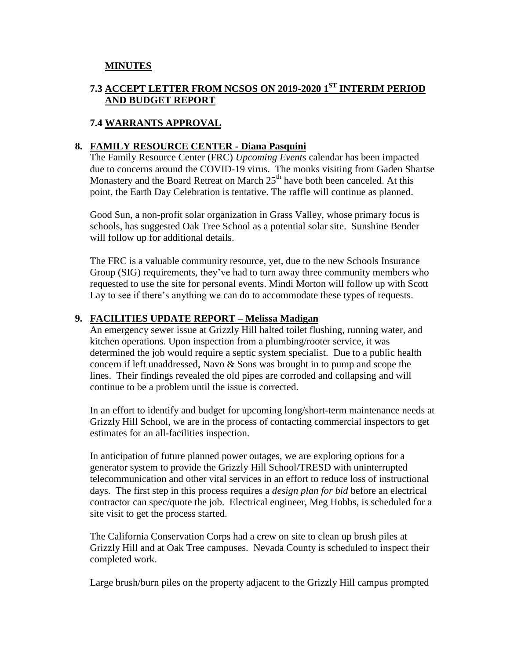# **MINUTES**

# **7.3 ACCEPT LETTER FROM NCSOS ON 2019-2020 1ST INTERIM PERIOD AND BUDGET REPORT**

# **7.4 WARRANTS APPROVAL**

### **8. FAMILY RESOURCE CENTER - Diana Pasquini**

The Family Resource Center (FRC) *Upcoming Events* calendar has been impacted due to concerns around the COVID-19 virus. The monks visiting from Gaden Shartse Monastery and the Board Retreat on March  $25<sup>th</sup>$  have both been canceled. At this point, the Earth Day Celebration is tentative. The raffle will continue as planned.

Good Sun, a non-profit solar organization in Grass Valley, whose primary focus is schools, has suggested Oak Tree School as a potential solar site. Sunshine Bender will follow up for additional details.

The FRC is a valuable community resource, yet, due to the new Schools Insurance Group (SIG) requirements, they've had to turn away three community members who requested to use the site for personal events. Mindi Morton will follow up with Scott Lay to see if there's anything we can do to accommodate these types of requests.

#### **9. FACILITIES UPDATE REPORT – Melissa Madigan**

An emergency sewer issue at Grizzly Hill halted toilet flushing, running water, and kitchen operations. Upon inspection from a plumbing/rooter service, it was determined the job would require a septic system specialist. Due to a public health concern if left unaddressed, Navo & Sons was brought in to pump and scope the lines. Their findings revealed the old pipes are corroded and collapsing and will continue to be a problem until the issue is corrected.

In an effort to identify and budget for upcoming long/short-term maintenance needs at Grizzly Hill School, we are in the process of contacting commercial inspectors to get estimates for an all-facilities inspection.

In anticipation of future planned power outages, we are exploring options for a generator system to provide the Grizzly Hill School/TRESD with uninterrupted telecommunication and other vital services in an effort to reduce loss of instructional days. The first step in this process requires a *design plan for bid* before an electrical contractor can spec/quote the job. Electrical engineer, Meg Hobbs, is scheduled for a site visit to get the process started.

The California Conservation Corps had a crew on site to clean up brush piles at Grizzly Hill and at Oak Tree campuses. Nevada County is scheduled to inspect their completed work.

Large brush/burn piles on the property adjacent to the Grizzly Hill campus prompted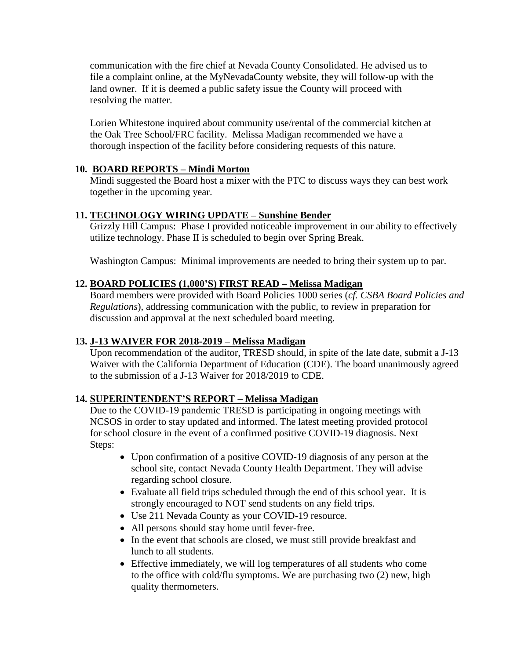communication with the fire chief at Nevada County Consolidated. He advised us to file a complaint online, at the MyNevadaCounty website, they will follow-up with the land owner. If it is deemed a public safety issue the County will proceed with resolving the matter.

Lorien Whitestone inquired about community use/rental of the commercial kitchen at the Oak Tree School/FRC facility. Melissa Madigan recommended we have a thorough inspection of the facility before considering requests of this nature.

# **10. BOARD REPORTS – Mindi Morton**

Mindi suggested the Board host a mixer with the PTC to discuss ways they can best work together in the upcoming year.

# **11. TECHNOLOGY WIRING UPDATE – Sunshine Bender**

Grizzly Hill Campus: Phase I provided noticeable improvement in our ability to effectively utilize technology. Phase II is scheduled to begin over Spring Break.

Washington Campus: Minimal improvements are needed to bring their system up to par.

# **12. BOARD POLICIES (1,000'S) FIRST READ – Melissa Madigan**

Board members were provided with Board Policies 1000 series (*cf. CSBA Board Policies and Regulations*), addressing communication with the public, to review in preparation for discussion and approval at the next scheduled board meeting.

# **13. J-13 WAIVER FOR 2018-2019 – Melissa Madigan**

Upon recommendation of the auditor, TRESD should, in spite of the late date, submit a J-13 Waiver with the California Department of Education (CDE). The board unanimously agreed to the submission of a J-13 Waiver for 2018/2019 to CDE.

# **14. SUPERINTENDENT'S REPORT – Melissa Madigan**

Due to the COVID-19 pandemic TRESD is participating in ongoing meetings with NCSOS in order to stay updated and informed. The latest meeting provided protocol for school closure in the event of a confirmed positive COVID-19 diagnosis. Next Steps:

- Upon confirmation of a positive COVID-19 diagnosis of any person at the school site, contact Nevada County Health Department. They will advise regarding school closure.
- Evaluate all field trips scheduled through the end of this school year. It is strongly encouraged to NOT send students on any field trips.
- Use 211 Nevada County as your COVID-19 resource.
- All persons should stay home until fever-free.
- In the event that schools are closed, we must still provide breakfast and lunch to all students.
- Effective immediately, we will log temperatures of all students who come to the office with cold/flu symptoms. We are purchasing two (2) new, high quality thermometers.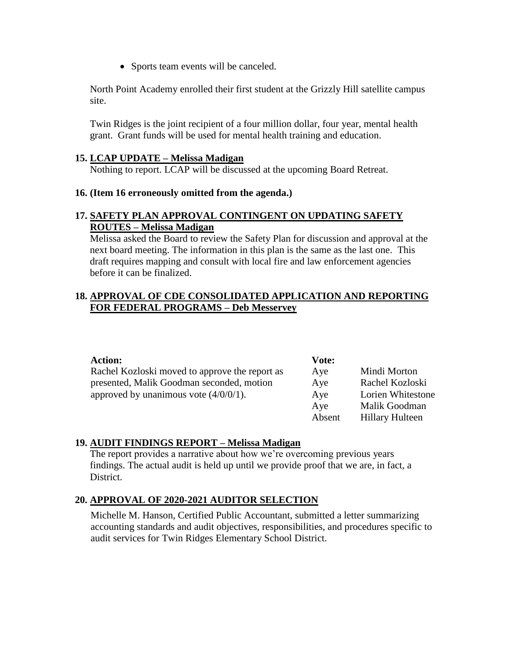• Sports team events will be canceled.

North Point Academy enrolled their first student at the Grizzly Hill satellite campus site.

Twin Ridges is the joint recipient of a four million dollar, four year, mental health grant. Grant funds will be used for mental health training and education.

#### **15. LCAP UPDATE – Melissa Madigan**

Nothing to report. LCAP will be discussed at the upcoming Board Retreat.

#### **16. (Item 16 erroneously omitted from the agenda.)**

### **17. SAFETY PLAN APPROVAL CONTINGENT ON UPDATING SAFETY ROUTES – Melissa Madigan**

Melissa asked the Board to review the Safety Plan for discussion and approval at the next board meeting. The information in this plan is the same as the last one. This draft requires mapping and consult with local fire and law enforcement agencies before it can be finalized.

#### **18. APPROVAL OF CDE CONSOLIDATED APPLICATION AND REPORTING FOR FEDERAL PROGRAMS – Deb Messervey**

| <b>Action:</b>                                 | Vote:  |                        |
|------------------------------------------------|--------|------------------------|
| Rachel Kozloski moved to approve the report as | Aye    | Mindi Morton           |
| presented, Malik Goodman seconded, motion      | Aye    | Rachel Kozloski        |
| approved by unanimous vote $(4/0/0/1)$ .       | Aye    | Lorien Whitestone      |
|                                                | Aye    | Malik Goodman          |
|                                                | Absent | <b>Hillary Hulteen</b> |

#### **19. AUDIT FINDINGS REPORT – Melissa Madigan**

The report provides a narrative about how we're overcoming previous years findings. The actual audit is held up until we provide proof that we are, in fact, a District.

#### **20. APPROVAL OF 2020-2021 AUDITOR SELECTION**

Michelle M. Hanson, Certified Public Accountant, submitted a letter summarizing accounting standards and audit objectives, responsibilities, and procedures specific to audit services for Twin Ridges Elementary School District.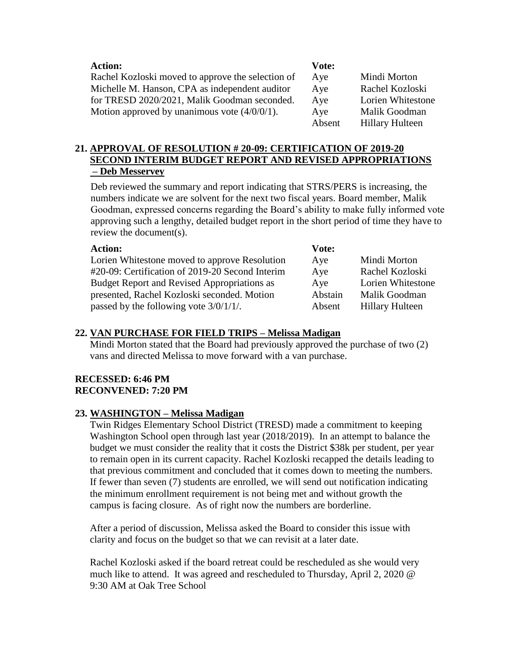| <b>Action:</b>                                    | Vote:  |                        |
|---------------------------------------------------|--------|------------------------|
| Rachel Kozloski moved to approve the selection of | Aye    | Mindi Morton           |
| Michelle M. Hanson, CPA as independent auditor    | Aye    | Rachel Kozloski        |
| for TRESD 2020/2021, Malik Goodman seconded.      | Aye    | Lorien Whitestone      |
| Motion approved by unanimous vote $(4/0/0/1)$ .   | Aye    | Malik Goodman          |
|                                                   | Absent | <b>Hillary Hulteen</b> |

# **21. APPROVAL OF RESOLUTION # 20-09: CERTIFICATION OF 2019-20 SECOND INTERIM BUDGET REPORT AND REVISED APPROPRIATIONS – Deb Messervey**

Deb reviewed the summary and report indicating that STRS/PERS is increasing, the numbers indicate we are solvent for the next two fiscal years. Board member, Malik Goodman, expressed concerns regarding the Board's ability to make fully informed vote approving such a lengthy, detailed budget report in the short period of time they have to review the document(s).

| <b>Action:</b>                                     | Vote:   |                        |
|----------------------------------------------------|---------|------------------------|
| Lorien Whitestone moved to approve Resolution      | Aye     | Mindi Morton           |
| #20-09: Certification of 2019-20 Second Interim    | Aye     | Rachel Kozloski        |
| <b>Budget Report and Revised Appropriations as</b> | Aye     | Lorien Whitestone      |
| presented, Rachel Kozloski seconded. Motion        | Abstain | Malik Goodman          |
| passed by the following vote $3/0/1/1/$ .          | Absent  | <b>Hillary Hulteen</b> |

### **22. VAN PURCHASE FOR FIELD TRIPS – Melissa Madigan**

Mindi Morton stated that the Board had previously approved the purchase of two (2) vans and directed Melissa to move forward with a van purchase.

#### **RECESSED: 6:46 PM RECONVENED: 7:20 PM**

#### **23. WASHINGTON – Melissa Madigan**

Twin Ridges Elementary School District (TRESD) made a commitment to keeping Washington School open through last year (2018/2019). In an attempt to balance the budget we must consider the reality that it costs the District \$38k per student, per year to remain open in its current capacity. Rachel Kozloski recapped the details leading to that previous commitment and concluded that it comes down to meeting the numbers. If fewer than seven (7) students are enrolled, we will send out notification indicating the minimum enrollment requirement is not being met and without growth the campus is facing closure. As of right now the numbers are borderline.

After a period of discussion, Melissa asked the Board to consider this issue with clarity and focus on the budget so that we can revisit at a later date.

Rachel Kozloski asked if the board retreat could be rescheduled as she would very much like to attend. It was agreed and rescheduled to Thursday, April 2, 2020 @ 9:30 AM at Oak Tree School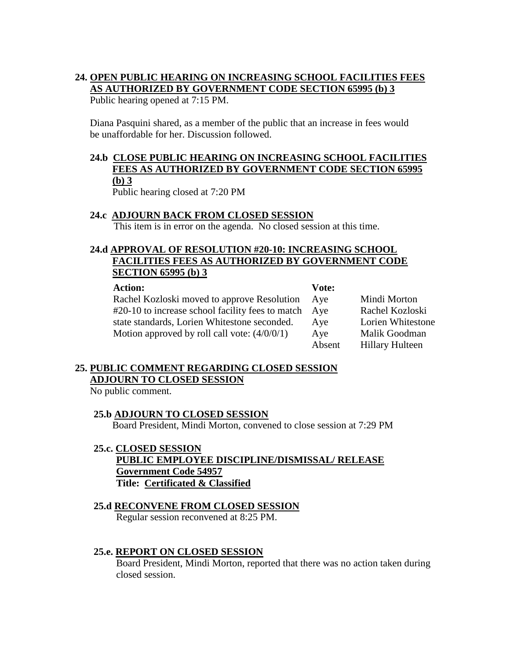# **24. OPEN PUBLIC HEARING ON INCREASING SCHOOL FACILITIES FEES AS AUTHORIZED BY GOVERNMENT CODE SECTION 65995 (b) 3**

Public hearing opened at 7:15 PM.

Diana Pasquini shared, as a member of the public that an increase in fees would be unaffordable for her. Discussion followed.

# **24.b CLOSE PUBLIC HEARING ON INCREASING SCHOOL FACILITIES FEES AS AUTHORIZED BY GOVERNMENT CODE SECTION 65995 (b) 3**

Public hearing closed at 7:20 PM

# **24.c ADJOURN BACK FROM CLOSED SESSION**

This item is in error on the agenda. No closed session at this time.

# **24.d APPROVAL OF RESOLUTION #20-10: INCREASING SCHOOL FACILITIES FEES AS AUTHORIZED BY GOVERNMENT CODE SECTION 65995 (b) 3**

| <b>Action:</b> |
|----------------|
|----------------|

**Vote:**

| Rachel Kozloski moved to approve Resolution      | Ave    | Mindi Morton           |
|--------------------------------------------------|--------|------------------------|
| #20-10 to increase school facility fees to match | Ave    | Rachel Kozloski        |
| state standards, Lorien Whitestone seconded.     | Ave    | Lorien Whitestone      |
| Motion approved by roll call vote: $(4/0/0/1)$   | Aye    | Malik Goodman          |
|                                                  | Absent | <b>Hillary Hulteen</b> |

# **25. PUBLIC COMMENT REGARDING CLOSED SESSION ADJOURN TO CLOSED SESSION**

No public comment.

# **25.b ADJOURN TO CLOSED SESSION**

Board President, Mindi Morton, convened to close session at 7:29 PM

**25.c. CLOSED SESSION PUBLIC EMPLOYEE DISCIPLINE/DISMISSAL/ RELEASE Government Code 54957 Title: Certificated & Classified**

# **25.d RECONVENE FROM CLOSED SESSION**

Regular session reconvened at 8:25 PM.

# **25.e. REPORT ON CLOSED SESSION**

Board President, Mindi Morton, reported that there was no action taken during closed session.